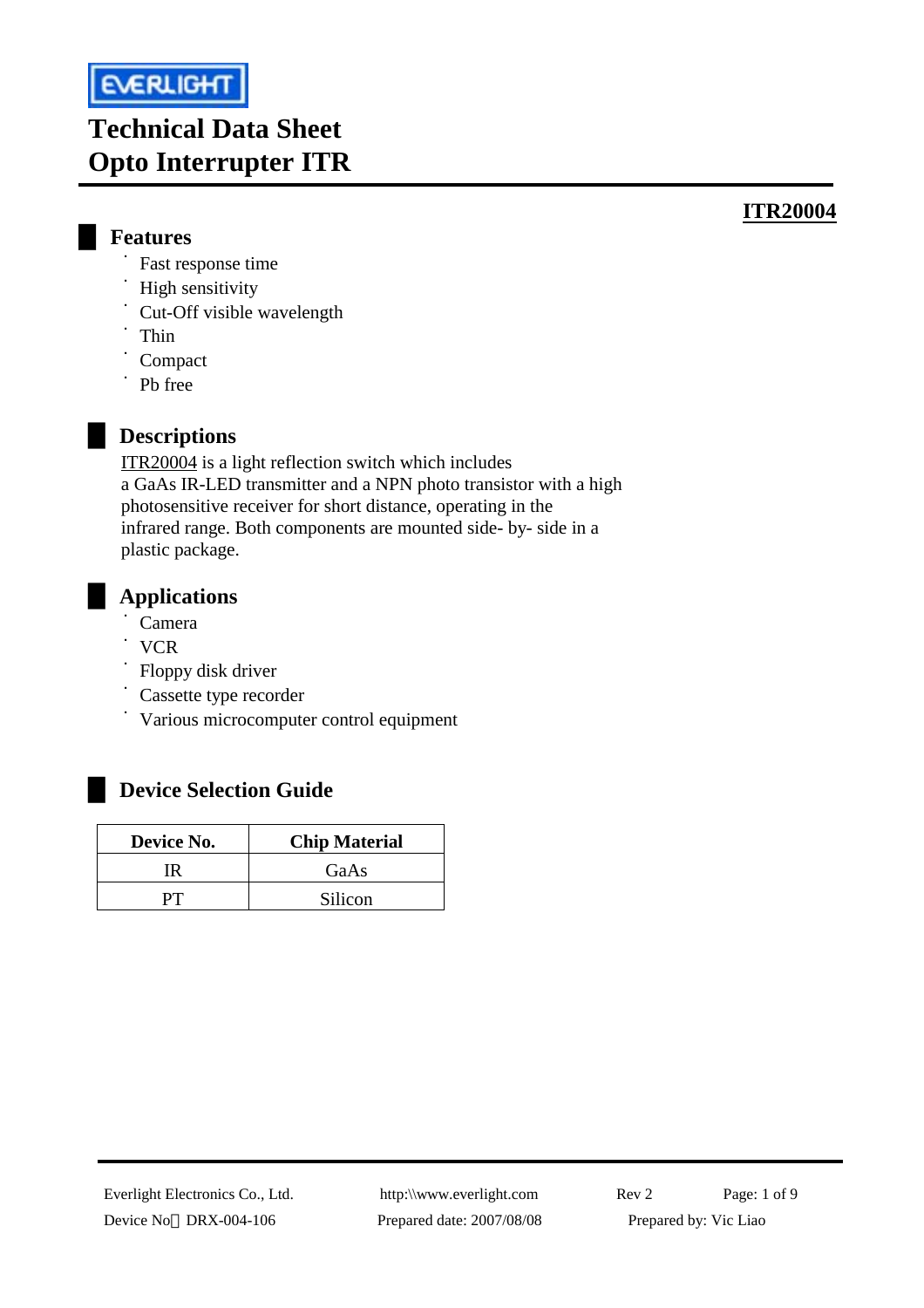

# **Technical Data Sheet Opto Interrupter ITR**

### **ITR20004**

- █ **Features** 
	- ˙Fast response time
	- ˙High sensitivity
	- ˙Cut-Off visible wavelength
	- ˙Thin
	- **Compact**
	- ˙Pb free

# █ **Descriptions**

ITR20004 is a light reflection switch which includes a GaAs IR-LED transmitter and a NPN photo transistor with a high photosensitive receiver for short distance, operating in the infrared range. Both components are mounted side- by- side in a plastic package.

# █ **Applications**

- ˙Camera
- ˙VCR
- ˙Floppy disk driver
- ˙Cassette type recorder
- ˙Various microcomputer control equipment

# █ **Device Selection Guide**

| Device No. | <b>Chip Material</b> |  |  |  |
|------------|----------------------|--|--|--|
|            | GaAs                 |  |  |  |
|            | Silicon              |  |  |  |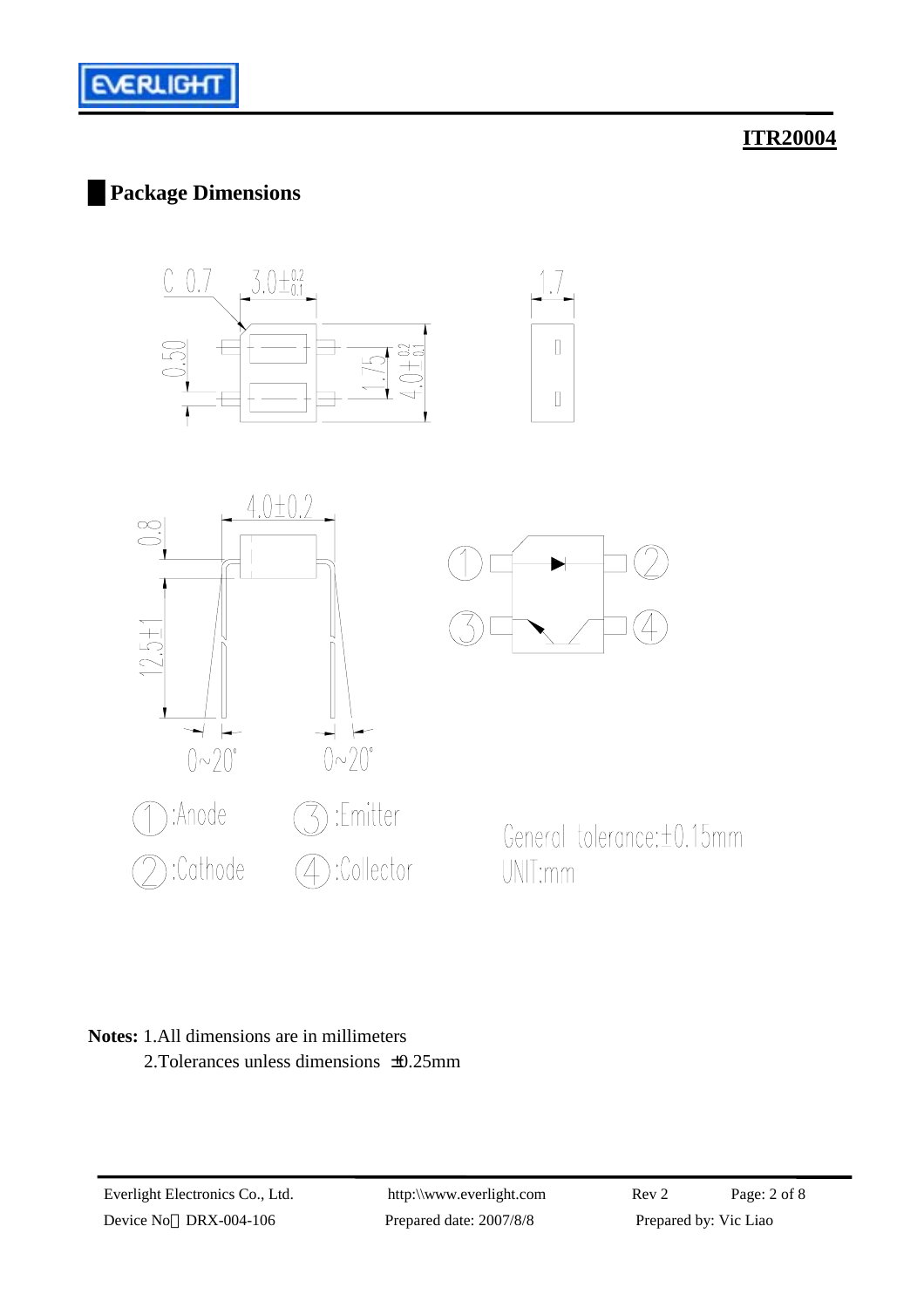

# █**Package Dimensions**









General tolerance: ±0.15mm UNIT:mm

#### **Notes:** 1.All dimensions are in millimeters 2.Tolerances unless dimensions ±0.25mm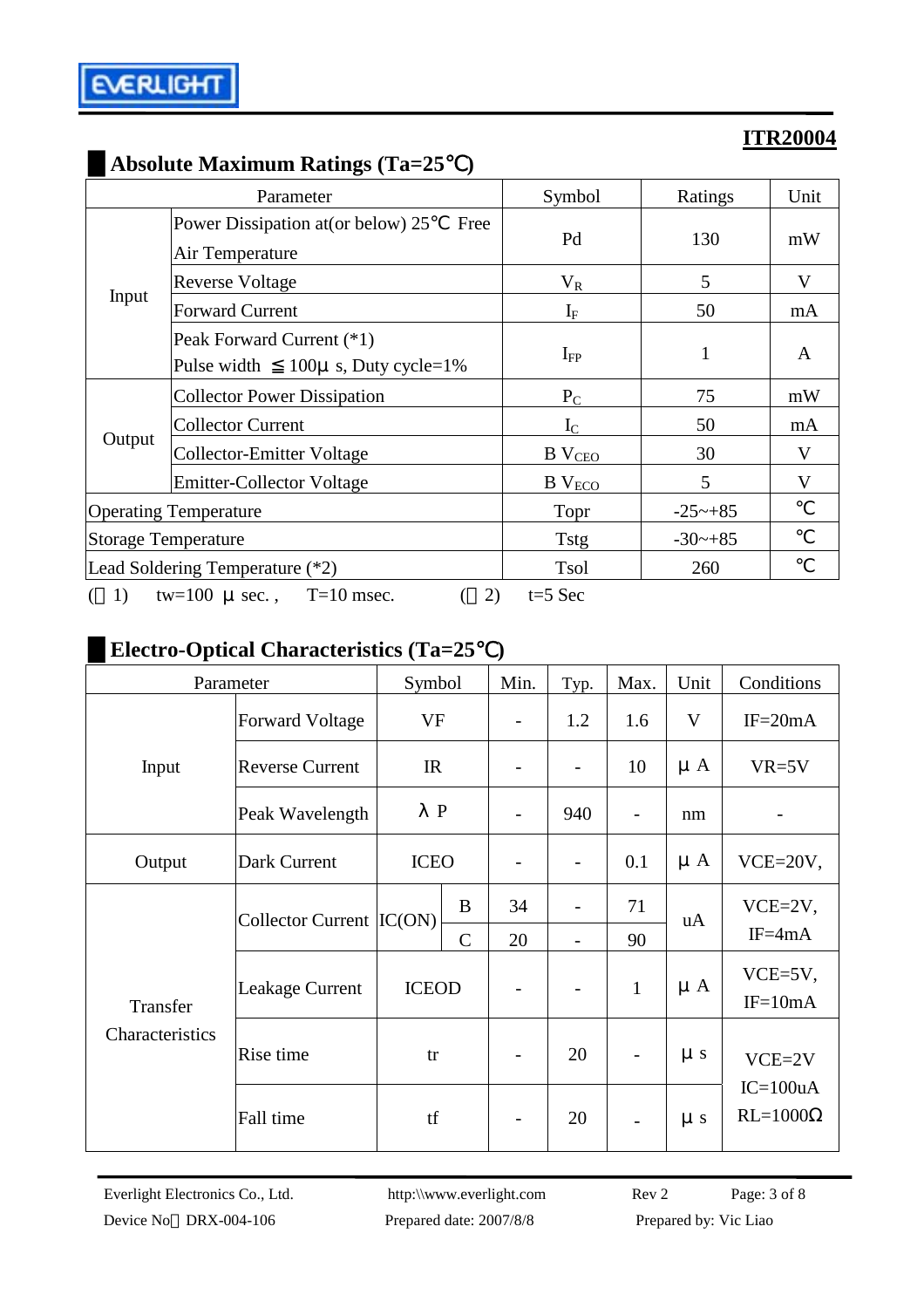|                                 | Parameter                                                                                                                                                             | Symbol        | Ratings               | Unit |
|---------------------------------|-----------------------------------------------------------------------------------------------------------------------------------------------------------------------|---------------|-----------------------|------|
| Input                           | Power Dissipation at (or below) 25<br>Free<br>Air Temperature                                                                                                         | Pd            | 130                   | mW   |
|                                 | <b>Reverse Voltage</b>                                                                                                                                                | $V_R$         | 5                     | V    |
|                                 | <b>Forward Current</b>                                                                                                                                                | $I_{\rm F}$   | 50                    | mA   |
|                                 | Peak Forward Current (*1)<br>Pulse width<br>$100\mu$ s, Duty cycle=1%                                                                                                 | $I_{FP}$      | 1                     | A    |
|                                 | <b>Collector Power Dissipation</b>                                                                                                                                    | $P_{C}$       | 75                    | mW   |
|                                 | <b>Collector Current</b>                                                                                                                                              | $I_{\rm C}$   | 50                    | mA   |
|                                 | <b>Collector-Emitter Voltage</b>                                                                                                                                      | $B$ $V_{CEO}$ | 30                    | V    |
|                                 | Output<br><b>Emitter-Collector Voltage</b><br>B V <sub>ECO</sub><br>Topr<br><b>Tstg</b><br><b>Tsol</b><br>$T=10$ msec.<br>2)<br>$t=5$ Sec<br>1)<br>tw=100 $\mu$ sec., | 5             | V                     |      |
| <b>Operating Temperature</b>    |                                                                                                                                                                       |               | $-25 \rightarrow +85$ |      |
| Storage Temperature             |                                                                                                                                                                       |               | $-30$ $-+85$          |      |
| Lead Soldering Temperature (*2) |                                                                                                                                                                       |               | 260                   |      |
|                                 |                                                                                                                                                                       |               |                       |      |

# █**Absolute Maximum Ratings (Ta=25**℃**)**

# █**Electro-Optical Characteristics (Ta=25**℃**)**

| Parameter       |                           | Symbol       |             | Min.                     | Typ.                     | Max.                     | Unit    | Conditions                    |  |
|-----------------|---------------------------|--------------|-------------|--------------------------|--------------------------|--------------------------|---------|-------------------------------|--|
|                 | <b>Forward Voltage</b>    | VF           |             |                          | 1.2                      | 1.6                      | V       | $IF = 20mA$                   |  |
| Input           | <b>Reverse Current</b>    | IR           |             |                          |                          | 10                       | $\mu A$ | $VR=5V$                       |  |
|                 | Peak Wavelength           | $\mathbf P$  |             |                          | 940                      | $\overline{\phantom{0}}$ | nm      |                               |  |
| Output          | Dark Current              | <b>ICEO</b>  |             | $\overline{\phantom{0}}$ | $\overline{\phantom{0}}$ | 0.1                      | $\mu A$ | $VCE=20V,$                    |  |
|                 | Collector Current  IC(ON) |              | B           | 34                       |                          | 71                       | uA      | $VCE=2V,$                     |  |
|                 |                           |              | $\mathbf C$ | 20                       |                          | 90                       |         | $IF = 4mA$                    |  |
| Transfer        | <b>Leakage Current</b>    | <b>ICEOD</b> |             | $\overline{\phantom{a}}$ | $\overline{\phantom{a}}$ | $\mathbf{1}$             | $\mu A$ | VCE=5V,<br>$IF=10mA$          |  |
| Characteristics | Rise time                 | tr           |             | $\overline{\phantom{0}}$ | 20                       | $\overline{\phantom{a}}$ | $\mu s$ | $VCE=2V$                      |  |
|                 | Fall time                 | tf           |             |                          | 20                       | $\overline{\phantom{0}}$ | $\mu s$ | $IC=100uA$<br>$RL=1000\Omega$ |  |

Everlight Electronics Co., Ltd. http:\\www.everlight.com Rev 2 Page: 3 of 8 Device No DRX-004-106 Prepared date: 2007/8/8 Prepared by: Vic Liao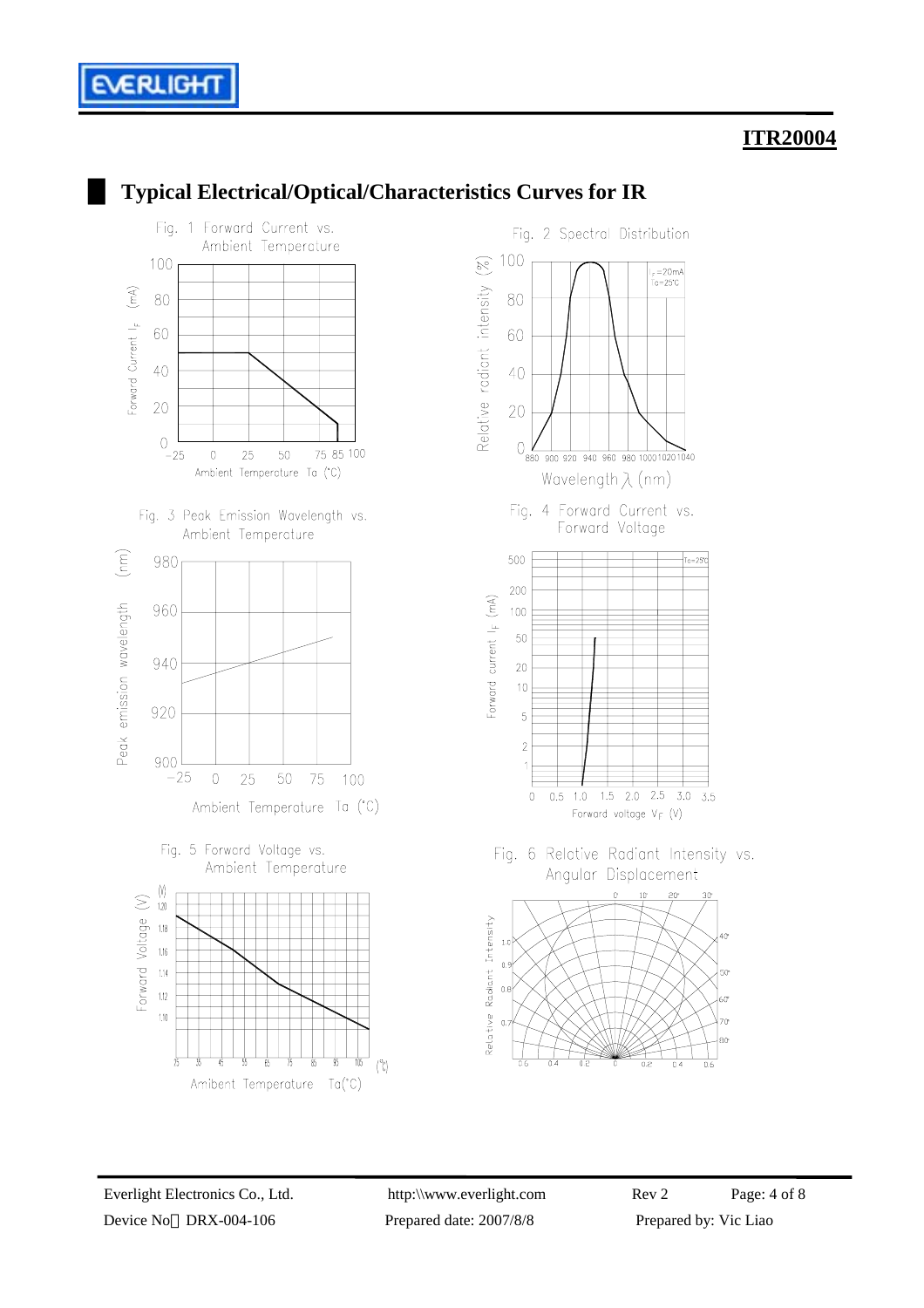



#### █ **Typical Electrical/Optical/Characteristics Curves for IR**

**ERLIGH** 

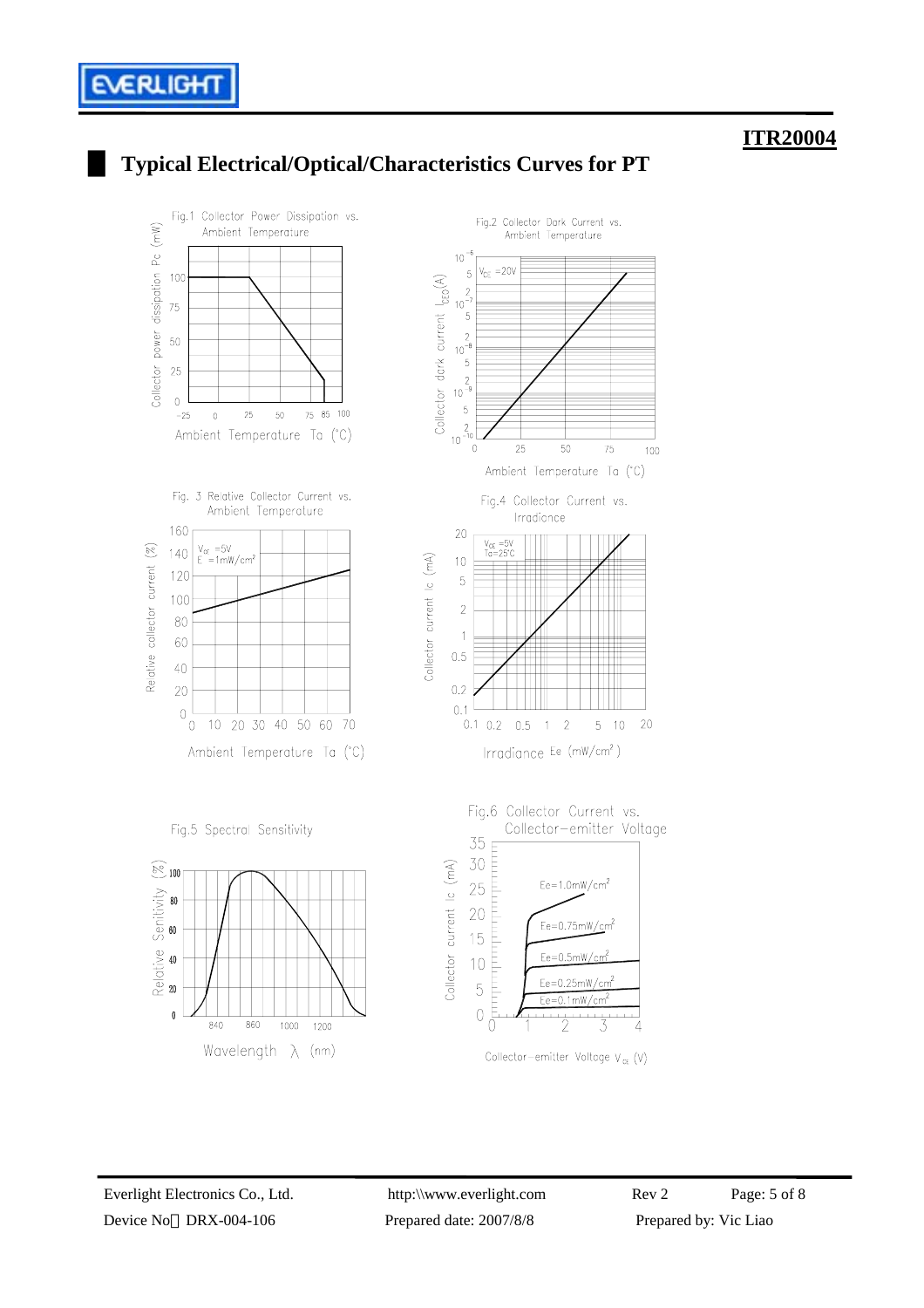# █ **Typical Electrical/Optical/Characteristics Curves for PT**

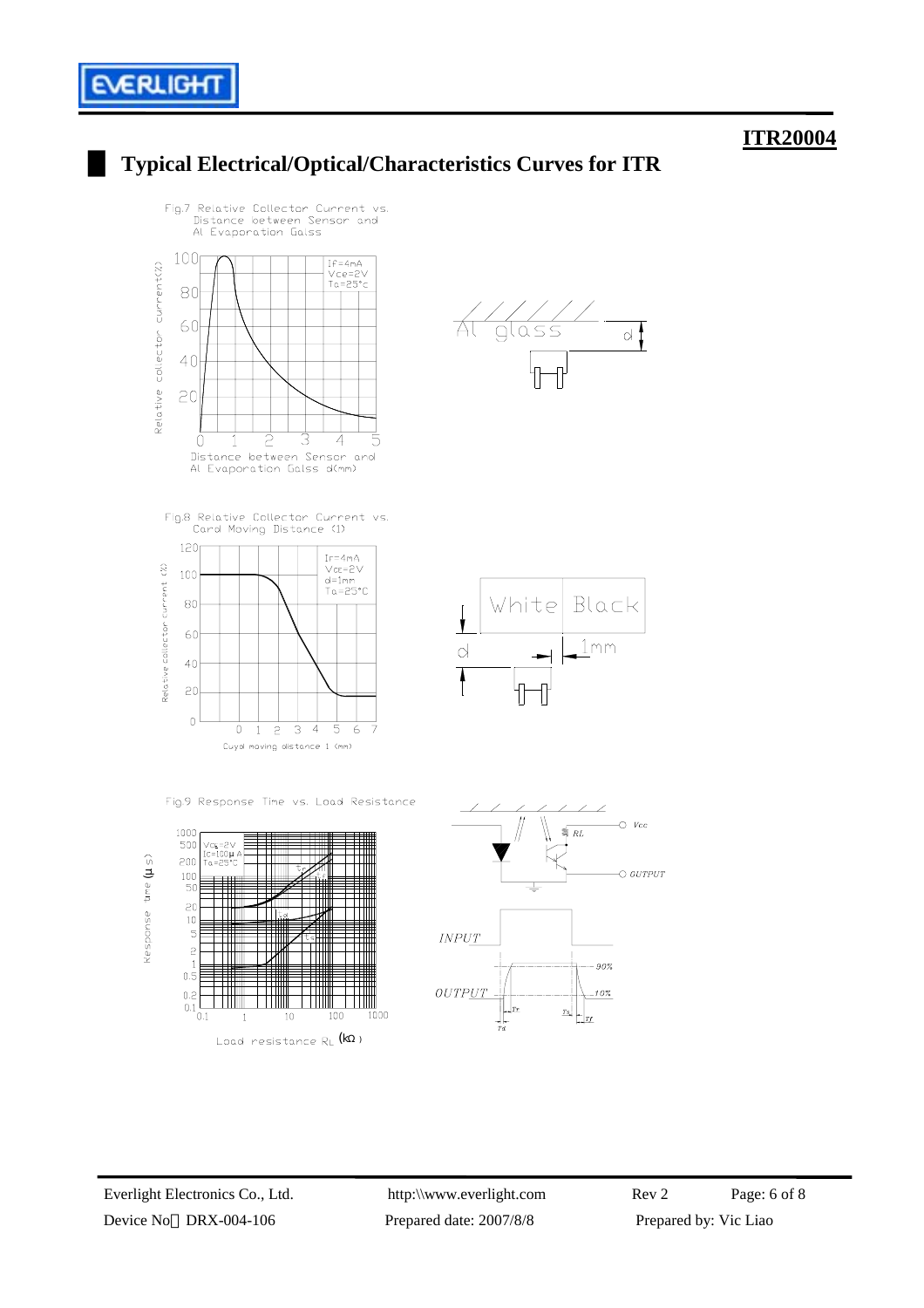

 $\alpha$ 

Black

 $1<sub>m</sub>$ m

∠

 $-90%$ 

10%

₹  $RL$   $O$   $Vcc$ 

 $\circ$  output

# █ **Typical Electrical/Optical/Characteristics Curves for ITR**





 $100$ 50  $\overline{c}$ 

 $10$ 

 $\overline{c}$ 

 $0.\overline{5}$  $0.2$   $\overline{0.1}$ <br> $0.1$  ┼╫╫

╥

**THE REAL** 

 $\overline{1}$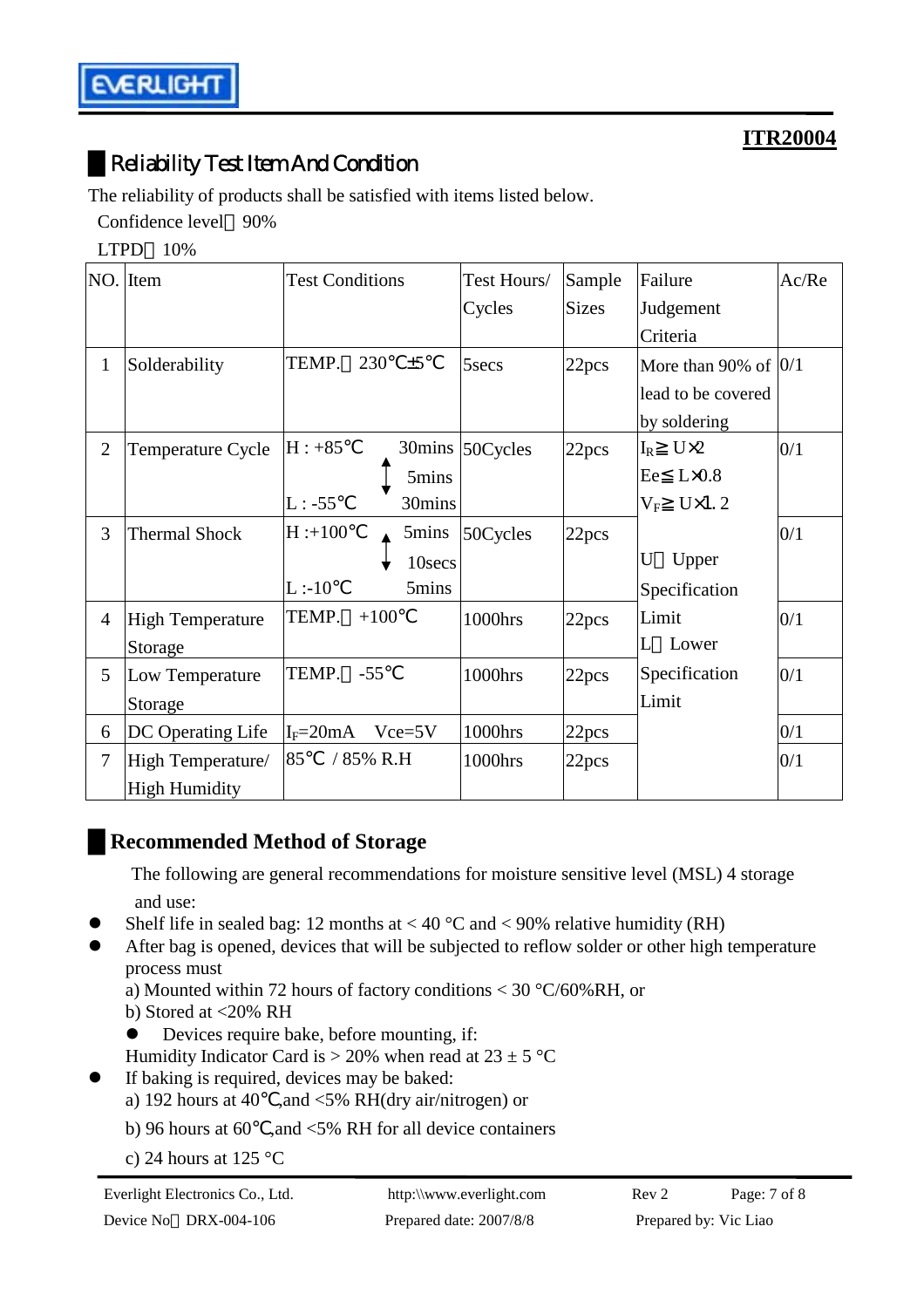# █Reliability Test Item And Condition

The reliability of products shall be satisfied with items listed below.

Confidence level 90%

LTPD 10%

|                | NO. Item                | <b>Test Conditions</b>   | Test Hours/     | Sample       | Failure                   | Ac/Re |
|----------------|-------------------------|--------------------------|-----------------|--------------|---------------------------|-------|
|                |                         |                          | Cycles          | <b>Sizes</b> | Judgement                 |       |
|                |                         |                          |                 |              | Criteria                  |       |
| 1              | Solderability           | TEMP.<br>230<br>±5       | 5secs           | 22pcs        | More than 90% of $ 0/1$   |       |
|                |                         |                          |                 |              | lead to be covered        |       |
|                |                         |                          |                 |              | by soldering              |       |
| $\overline{2}$ | Temperature Cycle       | $H: +85$                 | 30mins 50Cycles | 22pcs        | $U\times2$<br>$\rm I_R$   | 0/1   |
|                |                         | 5mins                    |                 |              | $L \times 0.8$<br>Ee      |       |
|                |                         | $L: -55$<br>30mins       |                 |              | $U\times1.2$<br>$\rm V_F$ |       |
| 3              | <b>Thermal Shock</b>    | $H: +100$<br>5mins       | 50Cycles        | 22pcs        |                           | 0/1   |
|                |                         | 10secs                   |                 |              | U<br>Upper                |       |
|                |                         | L:10<br>5mins            |                 |              | Specification             |       |
| $\overline{4}$ | <b>High Temperature</b> | TEMP.<br>$+100$          | 1000hrs         | 22pcs        | Limit                     | 0/1   |
|                | Storage                 |                          |                 |              | Lower<br>L                |       |
| 5              | Low Temperature         | TEMP.<br>$-55$           | 1000hrs         | 22pcs        | Specification             | 0/1   |
|                | Storage                 |                          |                 |              | Limit                     |       |
| 6              | DC Operating Life       | $I_F = 20mA$<br>$Vce=5V$ | 1000hrs         | 22pcs        |                           | 0/1   |
| $\overline{7}$ | High Temperature/       | 85<br>/ 85% R.H          | 1000hrs         | 22pcs        |                           | 0/1   |
|                | <b>High Humidity</b>    |                          |                 |              |                           |       |

# █**Recommended Method of Storage**

 The following are general recommendations for moisture sensitive level (MSL) 4 storage and use:

- Shelf life in sealed bag: 12 months at < 40  $^{\circ}$ C and < 90% relative humidity (RH)
- After bag is opened, devices that will be subjected to reflow solder or other high temperature process must
	- a) Mounted within 72 hours of factory conditions < 30 °C/60%RH, or
	- b) Stored at <20% RH
	- Devices require bake, before mounting, if:
	- Humidity Indicator Card is  $> 20\%$  when read at  $23 \pm 5$  °C
- $\bullet$  If baking is required, devices may be baked:
	- a) 192 hours at 40 ,and <5% RH(dry air/nitrogen) or
	- b) 96 hours at 60 ,and  $\leq$  5% RH for all device containers
	- c) 24 hours at 125 °C